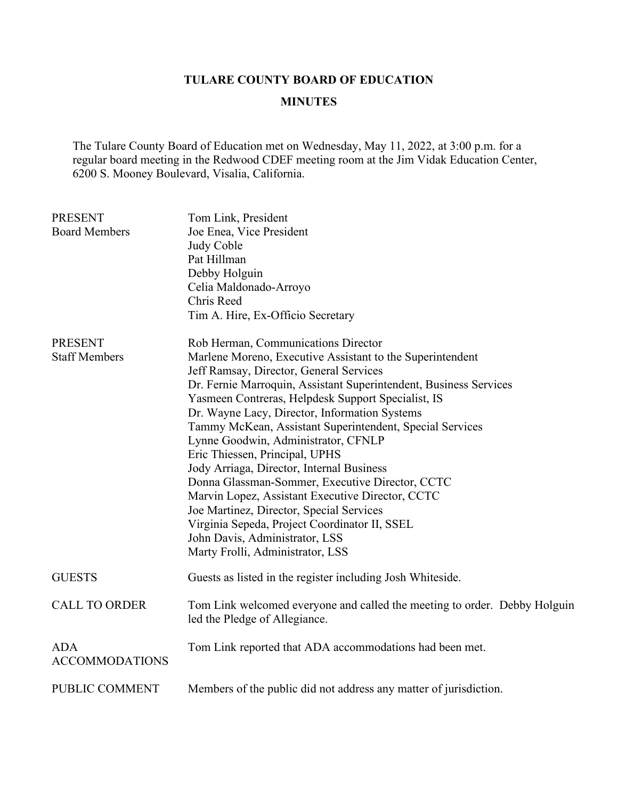## **TULARE COUNTY BOARD OF EDUCATION**

## **MINUTES**

The Tulare County Board of Education met on Wednesday, May 11, 2022, at 3:00 p.m. for a regular board meeting in the Redwood CDEF meeting room at the Jim Vidak Education Center, 6200 S. Mooney Boulevard, Visalia, California.

| <b>PRESENT</b><br><b>Board Members</b> | Tom Link, President<br>Joe Enea, Vice President                           |
|----------------------------------------|---------------------------------------------------------------------------|
|                                        | Judy Coble                                                                |
|                                        | Pat Hillman                                                               |
|                                        | Debby Holguin                                                             |
|                                        | Celia Maldonado-Arroyo                                                    |
|                                        | Chris Reed                                                                |
|                                        | Tim A. Hire, Ex-Officio Secretary                                         |
| <b>PRESENT</b>                         | Rob Herman, Communications Director                                       |
| <b>Staff Members</b>                   | Marlene Moreno, Executive Assistant to the Superintendent                 |
|                                        | Jeff Ramsay, Director, General Services                                   |
|                                        | Dr. Fernie Marroquin, Assistant Superintendent, Business Services         |
|                                        | Yasmeen Contreras, Helpdesk Support Specialist, IS                        |
|                                        | Dr. Wayne Lacy, Director, Information Systems                             |
|                                        | Tammy McKean, Assistant Superintendent, Special Services                  |
|                                        | Lynne Goodwin, Administrator, CFNLP                                       |
|                                        | Eric Thiessen, Principal, UPHS                                            |
|                                        | Jody Arriaga, Director, Internal Business                                 |
|                                        | Donna Glassman-Sommer, Executive Director, CCTC                           |
|                                        | Marvin Lopez, Assistant Executive Director, CCTC                          |
|                                        | Joe Martinez, Director, Special Services                                  |
|                                        | Virginia Sepeda, Project Coordinator II, SSEL                             |
|                                        | John Davis, Administrator, LSS                                            |
|                                        | Marty Frolli, Administrator, LSS                                          |
| <b>GUESTS</b>                          | Guests as listed in the register including Josh Whiteside.                |
| <b>CALL TO ORDER</b>                   | Tom Link welcomed everyone and called the meeting to order. Debby Holguin |
|                                        | led the Pledge of Allegiance.                                             |
| <b>ADA</b>                             | Tom Link reported that ADA accommodations had been met.                   |
| <b>ACCOMMODATIONS</b>                  |                                                                           |
| PUBLIC COMMENT                         | Members of the public did not address any matter of jurisdiction.         |
|                                        |                                                                           |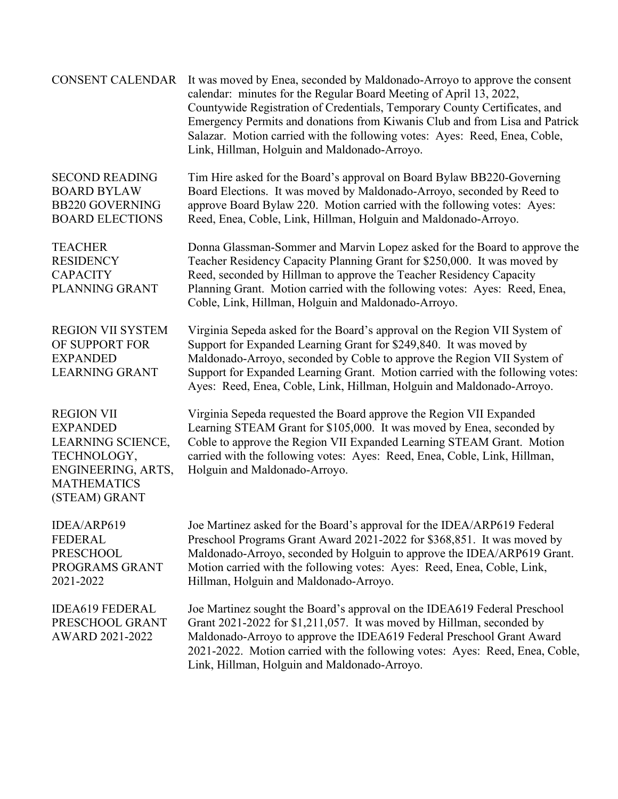| <b>CONSENT CALENDAR</b>                                                                                                               | It was moved by Enea, seconded by Maldonado-Arroyo to approve the consent<br>calendar: minutes for the Regular Board Meeting of April 13, 2022,<br>Countywide Registration of Credentials, Temporary County Certificates, and<br>Emergency Permits and donations from Kiwanis Club and from Lisa and Patrick<br>Salazar. Motion carried with the following votes: Ayes: Reed, Enea, Coble,<br>Link, Hillman, Holguin and Maldonado-Arroyo. |
|---------------------------------------------------------------------------------------------------------------------------------------|--------------------------------------------------------------------------------------------------------------------------------------------------------------------------------------------------------------------------------------------------------------------------------------------------------------------------------------------------------------------------------------------------------------------------------------------|
| <b>SECOND READING</b><br><b>BOARD BYLAW</b><br><b>BB220 GOVERNING</b><br><b>BOARD ELECTIONS</b>                                       | Tim Hire asked for the Board's approval on Board Bylaw BB220-Governing<br>Board Elections. It was moved by Maldonado-Arroyo, seconded by Reed to<br>approve Board Bylaw 220. Motion carried with the following votes: Ayes:<br>Reed, Enea, Coble, Link, Hillman, Holguin and Maldonado-Arroyo.                                                                                                                                             |
| <b>TEACHER</b><br><b>RESIDENCY</b><br><b>CAPACITY</b><br>PLANNING GRANT                                                               | Donna Glassman-Sommer and Marvin Lopez asked for the Board to approve the<br>Teacher Residency Capacity Planning Grant for \$250,000. It was moved by<br>Reed, seconded by Hillman to approve the Teacher Residency Capacity<br>Planning Grant. Motion carried with the following votes: Ayes: Reed, Enea,<br>Coble, Link, Hillman, Holguin and Maldonado-Arroyo.                                                                          |
| <b>REGION VII SYSTEM</b><br>OF SUPPORT FOR<br><b>EXPANDED</b><br><b>LEARNING GRANT</b>                                                | Virginia Sepeda asked for the Board's approval on the Region VII System of<br>Support for Expanded Learning Grant for \$249,840. It was moved by<br>Maldonado-Arroyo, seconded by Coble to approve the Region VII System of<br>Support for Expanded Learning Grant. Motion carried with the following votes:<br>Ayes: Reed, Enea, Coble, Link, Hillman, Holguin and Maldonado-Arroyo.                                                      |
| <b>REGION VII</b><br><b>EXPANDED</b><br>LEARNING SCIENCE,<br>TECHNOLOGY,<br>ENGINEERING, ARTS,<br><b>MATHEMATICS</b><br>(STEAM) GRANT | Virginia Sepeda requested the Board approve the Region VII Expanded<br>Learning STEAM Grant for \$105,000. It was moved by Enea, seconded by<br>Coble to approve the Region VII Expanded Learning STEAM Grant. Motion<br>carried with the following votes: Ayes: Reed, Enea, Coble, Link, Hillman,<br>Holguin and Maldonado-Arroyo.                                                                                                        |
| IDEA/ARP619<br><b>FEDERAL</b><br><b>PRESCHOOL</b><br>PROGRAMS GRANT<br>2021-2022                                                      | Joe Martinez asked for the Board's approval for the IDEA/ARP619 Federal<br>Preschool Programs Grant Award 2021-2022 for \$368,851. It was moved by<br>Maldonado-Arroyo, seconded by Holguin to approve the IDEA/ARP619 Grant.<br>Motion carried with the following votes: Ayes: Reed, Enea, Coble, Link,<br>Hillman, Holguin and Maldonado-Arroyo.                                                                                         |
| <b>IDEA619 FEDERAL</b><br>PRESCHOOL GRANT<br>AWARD 2021-2022                                                                          | Joe Martinez sought the Board's approval on the IDEA619 Federal Preschool<br>Grant 2021-2022 for \$1,211,057. It was moved by Hillman, seconded by<br>Maldonado-Arroyo to approve the IDEA619 Federal Preschool Grant Award<br>2021-2022. Motion carried with the following votes: Ayes: Reed, Enea, Coble,<br>Link, Hillman, Holguin and Maldonado-Arroyo.                                                                                |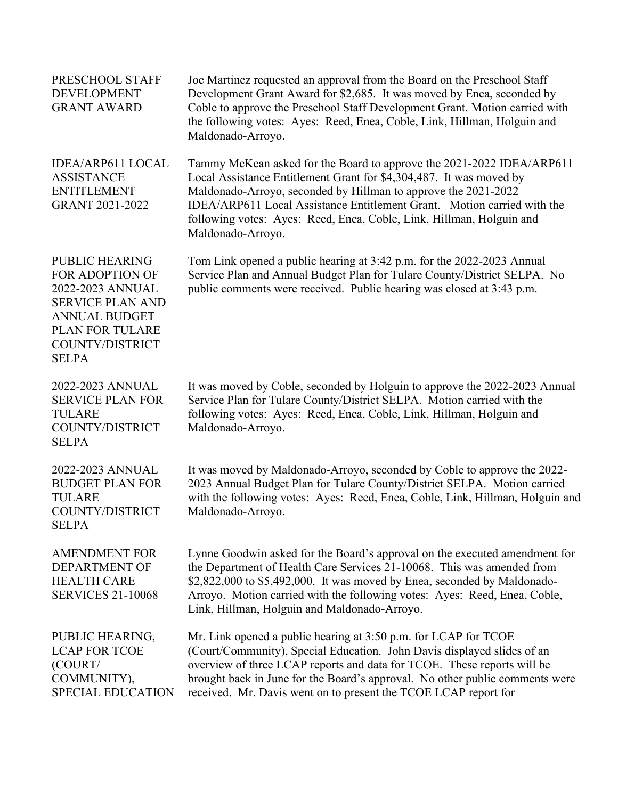| PRESCHOOL STAFF<br><b>DEVELOPMENT</b><br><b>GRANT AWARD</b>                                                                                                           | Joe Martinez requested an approval from the Board on the Preschool Staff<br>Development Grant Award for \$2,685. It was moved by Enea, seconded by<br>Coble to approve the Preschool Staff Development Grant. Motion carried with<br>the following votes: Ayes: Reed, Enea, Coble, Link, Hillman, Holguin and<br>Maldonado-Arroyo.                                                     |
|-----------------------------------------------------------------------------------------------------------------------------------------------------------------------|----------------------------------------------------------------------------------------------------------------------------------------------------------------------------------------------------------------------------------------------------------------------------------------------------------------------------------------------------------------------------------------|
| <b>IDEA/ARP611 LOCAL</b><br><b>ASSISTANCE</b><br><b>ENTITLEMENT</b><br><b>GRANT 2021-2022</b>                                                                         | Tammy McKean asked for the Board to approve the 2021-2022 IDEA/ARP611<br>Local Assistance Entitlement Grant for \$4,304,487. It was moved by<br>Maldonado-Arroyo, seconded by Hillman to approve the 2021-2022<br>IDEA/ARP611 Local Assistance Entitlement Grant. Motion carried with the<br>following votes: Ayes: Reed, Enea, Coble, Link, Hillman, Holguin and<br>Maldonado-Arroyo. |
| <b>PUBLIC HEARING</b><br>FOR ADOPTION OF<br>2022-2023 ANNUAL<br><b>SERVICE PLAN AND</b><br><b>ANNUAL BUDGET</b><br>PLAN FOR TULARE<br>COUNTY/DISTRICT<br><b>SELPA</b> | Tom Link opened a public hearing at 3:42 p.m. for the 2022-2023 Annual<br>Service Plan and Annual Budget Plan for Tulare County/District SELPA. No<br>public comments were received. Public hearing was closed at 3:43 p.m.                                                                                                                                                            |
| 2022-2023 ANNUAL<br><b>SERVICE PLAN FOR</b><br><b>TULARE</b><br>COUNTY/DISTRICT<br><b>SELPA</b>                                                                       | It was moved by Coble, seconded by Holguin to approve the 2022-2023 Annual<br>Service Plan for Tulare County/District SELPA. Motion carried with the<br>following votes: Ayes: Reed, Enea, Coble, Link, Hillman, Holguin and<br>Maldonado-Arroyo.                                                                                                                                      |
| 2022-2023 ANNUAL<br><b>BUDGET PLAN FOR</b><br><b>TULARE</b><br>COUNTY/DISTRICT<br>SELPA                                                                               | It was moved by Maldonado-Arroyo, seconded by Coble to approve the 2022-<br>2023 Annual Budget Plan for Tulare County/District SELPA. Motion carried<br>with the following votes: Ayes: Reed, Enea, Coble, Link, Hillman, Holguin and<br>Maldonado-Arroyo.                                                                                                                             |
| <b>AMENDMENT FOR</b><br><b>DEPARTMENT OF</b><br><b>HEALTH CARE</b><br><b>SERVICES 21-10068</b>                                                                        | Lynne Goodwin asked for the Board's approval on the executed amendment for<br>the Department of Health Care Services 21-10068. This was amended from<br>\$2,822,000 to \$5,492,000. It was moved by Enea, seconded by Maldonado-<br>Arroyo. Motion carried with the following votes: Ayes: Reed, Enea, Coble,<br>Link, Hillman, Holguin and Maldonado-Arroyo.                          |
| PUBLIC HEARING,<br><b>LCAP FOR TCOE</b><br>(COURT/<br>COMMUNITY),<br><b>SPECIAL EDUCATION</b>                                                                         | Mr. Link opened a public hearing at 3:50 p.m. for LCAP for TCOE<br>(Court/Community), Special Education. John Davis displayed slides of an<br>overview of three LCAP reports and data for TCOE. These reports will be<br>brought back in June for the Board's approval. No other public comments were<br>received. Mr. Davis went on to present the TCOE LCAP report for               |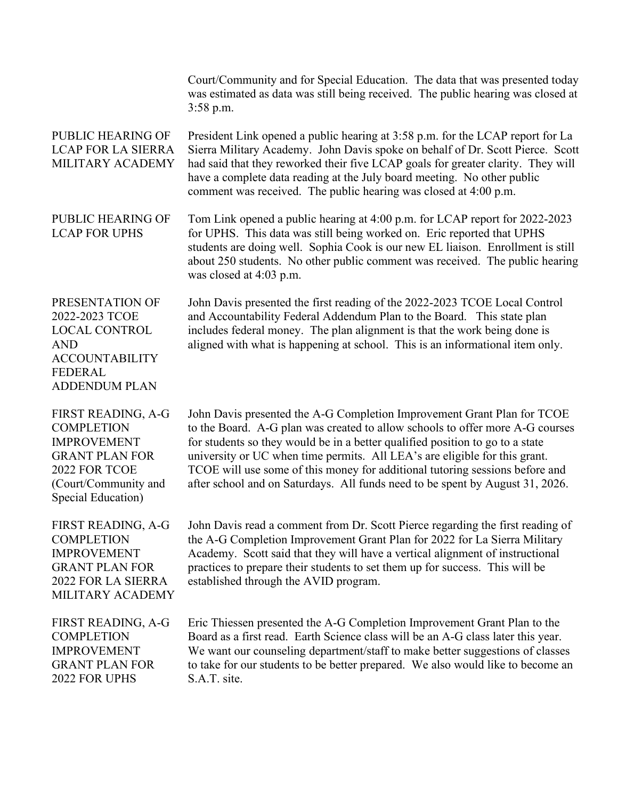Court/Community and for Special Education. The data that was presented today was estimated as data was still being received. The public hearing was closed at 3:58 p.m. PUBLIC HEARING OF LCAP FOR LA SIERRA MILITARY ACADEMY President Link opened a public hearing at 3:58 p.m. for the LCAP report for La Sierra Military Academy. John Davis spoke on behalf of Dr. Scott Pierce. Scott had said that they reworked their five LCAP goals for greater clarity. They will have a complete data reading at the July board meeting. No other public comment was received. The public hearing was closed at 4:00 p.m. PUBLIC HEARING OF LCAP FOR UPHS Tom Link opened a public hearing at 4:00 p.m. for LCAP report for 2022-2023 for UPHS. This data was still being worked on. Eric reported that UPHS students are doing well. Sophia Cook is our new EL liaison. Enrollment is still about 250 students. No other public comment was received. The public hearing was closed at 4:03 p.m. PRESENTATION OF 2022-2023 TCOE LOCAL CONTROL AND ACCOUNTABILITY FEDERAL ADDENDUM PLAN John Davis presented the first reading of the 2022-2023 TCOE Local Control and Accountability Federal Addendum Plan to the Board. This state plan includes federal money. The plan alignment is that the work being done is aligned with what is happening at school. This is an informational item only. FIRST READING, A-G **COMPLETION** IMPROVEMENT GRANT PLAN FOR 2022 FOR TCOE (Court/Community and Special Education) John Davis presented the A-G Completion Improvement Grant Plan for TCOE to the Board. A-G plan was created to allow schools to offer more A-G courses for students so they would be in a better qualified position to go to a state university or UC when time permits. All LEA's are eligible for this grant. TCOE will use some of this money for additional tutoring sessions before and after school and on Saturdays. All funds need to be spent by August 31, 2026. FIRST READING, A-G **COMPLETION** IMPROVEMENT GRANT PLAN FOR 2022 FOR LA SIERRA MILITARY ACADEMY John Davis read a comment from Dr. Scott Pierce regarding the first reading of the A-G Completion Improvement Grant Plan for 2022 for La Sierra Military Academy. Scott said that they will have a vertical alignment of instructional practices to prepare their students to set them up for success. This will be established through the AVID program. FIRST READING, A-G **COMPLETION** IMPROVEMENT GRANT PLAN FOR 2022 FOR UPHS Eric Thiessen presented the A-G Completion Improvement Grant Plan to the Board as a first read. Earth Science class will be an A-G class later this year. We want our counseling department/staff to make better suggestions of classes to take for our students to be better prepared. We also would like to become an S.A.T. site.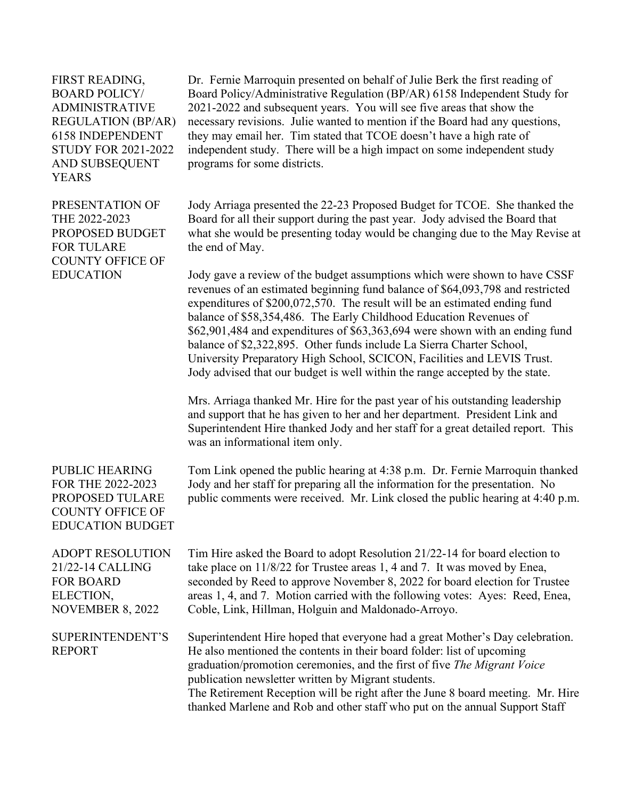FIRST READING, BOARD POLICY/ ADMINISTRATIVE REGULATION (BP/AR) 6158 INDEPENDENT STUDY FOR 2021-2022 AND SUBSEQUENT YEARS

PRESENTATION OF THE 2022-2023 PROPOSED BUDGET FOR TULARE COUNTY OFFICE OF **EDUCATION** 

Dr. Fernie Marroquin presented on behalf of Julie Berk the first reading of Board Policy/Administrative Regulation (BP/AR) 6158 Independent Study for 2021-2022 and subsequent years. You will see five areas that show the necessary revisions. Julie wanted to mention if the Board had any questions, they may email her. Tim stated that TCOE doesn't have a high rate of independent study. There will be a high impact on some independent study programs for some districts.

Jody Arriaga presented the 22-23 Proposed Budget for TCOE. She thanked the Board for all their support during the past year. Jody advised the Board that what she would be presenting today would be changing due to the May Revise at the end of May.

Jody gave a review of the budget assumptions which were shown to have CSSF revenues of an estimated beginning fund balance of \$64,093,798 and restricted expenditures of \$200,072,570. The result will be an estimated ending fund balance of \$58,354,486. The Early Childhood Education Revenues of \$62,901,484 and expenditures of \$63,363,694 were shown with an ending fund balance of \$2,322,895. Other funds include La Sierra Charter School, University Preparatory High School, SCICON, Facilities and LEVIS Trust. Jody advised that our budget is well within the range accepted by the state.

Mrs. Arriaga thanked Mr. Hire for the past year of his outstanding leadership and support that he has given to her and her department. President Link and Superintendent Hire thanked Jody and her staff for a great detailed report. This was an informational item only.

## PUBLIC HEARING FOR THE 2022-2023 PROPOSED TULARE COUNTY OFFICE OF EDUCATION BUDGET

Tom Link opened the public hearing at 4:38 p.m. Dr. Fernie Marroquin thanked Jody and her staff for preparing all the information for the presentation. No public comments were received. Mr. Link closed the public hearing at 4:40 p.m.

| <b>ADOPT RESOLUTION</b>           | Tim Hire asked the Board to adopt Resolution 21/22-14 for board election to                                                                                                                                                                                                                |
|-----------------------------------|--------------------------------------------------------------------------------------------------------------------------------------------------------------------------------------------------------------------------------------------------------------------------------------------|
| 21/22-14 CALLING                  | take place on 11/8/22 for Trustee areas 1, 4 and 7. It was moved by Enea,                                                                                                                                                                                                                  |
| <b>FOR BOARD</b>                  | seconded by Reed to approve November 8, 2022 for board election for Trustee                                                                                                                                                                                                                |
| ELECTION,                         | areas 1, 4, and 7. Motion carried with the following votes: Ayes: Reed, Enea,                                                                                                                                                                                                              |
| <b>NOVEMBER 8, 2022</b>           | Coble, Link, Hillman, Holguin and Maldonado-Arroyo.                                                                                                                                                                                                                                        |
| SUPERINTENDENT'S<br><b>REPORT</b> | Superintendent Hire hoped that everyone had a great Mother's Day celebration.<br>He also mentioned the contents in their board folder: list of upcoming<br>graduation/promotion ceremonies, and the first of five The Migrant Voice<br>publication newsletter written by Migrant students. |

The Retirement Reception will be right after the June 8 board meeting. Mr. Hire thanked Marlene and Rob and other staff who put on the annual Support Staff